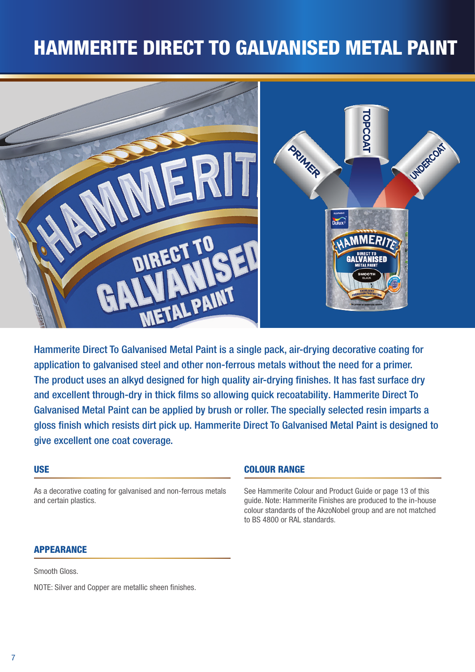# HAMMERITE DIRECT TO GALVANISED METAL PAINT



Hammerite Direct To Galvanised Metal Paint is a single pack, air-drying decorative coating for application to galvanised steel and other non-ferrous metals without the need for a primer. The product uses an alkyd designed for high quality air-drying finishes. It has fast surface dry and excellent through-dry in thick films so allowing quick recoatability. Hammerite Direct To Galvanised Metal Paint can be applied by brush or roller. The specially selected resin imparts a gloss finish which resists dirt pick up. Hammerite Direct To Galvanised Metal Paint is designed to give excellent one coat coverage.

### USE

As a decorative coating for galvanised and non-ferrous metals and certain plastics.

### COLOUR RANGE

See Hammerite Colour and Product Guide or page 13 of this guide. Note: Hammerite Finishes are produced to the in-house colour standards of the AkzoNobel group and are not matched to BS 4800 or RAL standards.

### **APPEARANCE**

Smooth Gloss.

NOTE: Silver and Copper are metallic sheen finishes.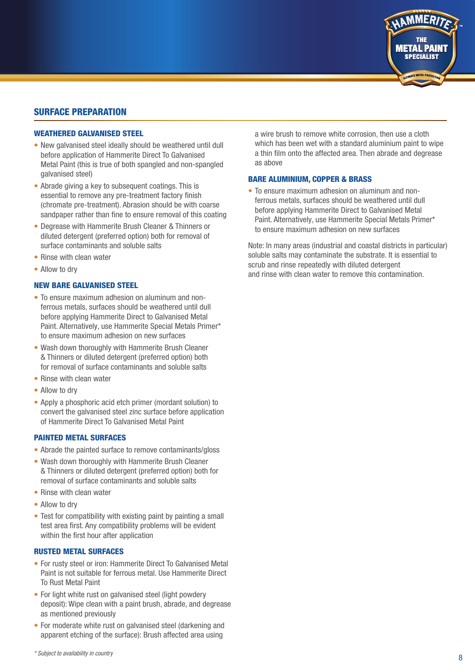## SURFACE PREPARATION

#### WEATHERED GALVANISED STEEL

- New galvanised steel ideally should be weathered until dull before application of Hammerite Direct To Galvanised Metal Paint (this is true of both spangled and non-spangled galvanised steel)
- Abrade giving a key to subsequent coatings. This is essential to remove any pre-treatment factory finish (chromate pre-treatment). Abrasion should be with coarse sandpaper rather than fine to ensure removal of this coating
- Degrease with Hammerite Brush Cleaner & Thinners or diluted detergent (preferred option) both for removal of surface contaminants and soluble salts
- Rinse with clean water
- Allow to drv

#### NEW BARE GALVANISED STEEL

- To ensure maximum adhesion on aluminum and nonferrous metals, surfaces should be weathered until dull before applying Hammerite Direct to Galvanised Metal Paint. Alternatively, use Hammerite Special Metals Primer\* to ensure maximum adhesion on new surfaces
- Wash down thoroughly with Hammerite Brush Cleaner & Thinners or diluted detergent (preferred option) both for removal of surface contaminants and soluble salts
- Rinse with clean water
- Allow to dry
- Apply a phosphoric acid etch primer (mordant solution) to convert the galvanised steel zinc surface before application of Hammerite Direct To Galvanised Metal Paint

#### PAINTED METAL SURFACES

- Abrade the painted surface to remove contaminants/gloss
- Wash down thoroughly with Hammerite Brush Cleaner & Thinners or diluted detergent (preferred option) both for removal of surface contaminants and soluble salts
- Rinse with clean water
- Allow to dry
- Test for compatibility with existing paint by painting a small test area first. Any compatibility problems will be evident within the first hour after application

#### RUSTED METAL SURFACES

- For rusty steel or iron: Hammerite Direct To Galvanised Metal Paint is not suitable for ferrous metal. Use Hammerite Direct To Rust Metal Paint
- For light white rust on galvanised steel (light powdery deposit): Wipe clean with a paint brush, abrade, and degrease as mentioned previously
- For moderate white rust on galvanised steel (darkening and apparent etching of the surface): Brush affected area using

a wire brush to remove white corrosion, then use a cloth which has been wet with a standard aluminium paint to wipe a thin film onto the affected area. Then abrade and degrease as above

**METAL PAINT SPECIALIST** 

#### BARE ALUMINIUM, COPPER & BRASS

• To ensure maximum adhesion on aluminum and nonferrous metals, surfaces should be weathered until dull before applying Hammerite Direct to Galvanised Metal Paint. Alternatively, use Hammerite Special Metals Primer\* to ensure maximum adhesion on new surfaces

Note: In many areas (industrial and coastal districts in particular) soluble salts may contaminate the substrate. It is essential to scrub and rinse repeatedly with diluted detergent and rinse with clean water to remove this contamination.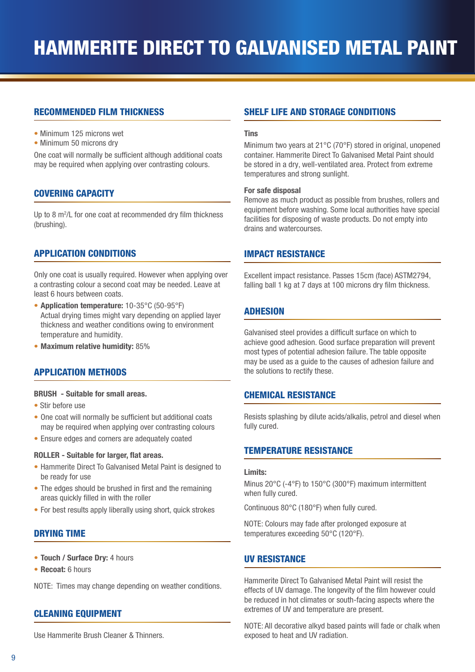## RECOMMENDED FILM THICKNESS

- Minimum 125 microns wet
- Minimum 50 microns dry

One coat will normally be sufficient although additional coats may be required when applying over contrasting colours.

## COVERING CAPACITY

Up to 8 m<sup>2</sup>/L for one coat at recommended dry film thickness (brushing).

## APPLICATION CONDITIONS

Only one coat is usually required. However when applying over a contrasting colour a second coat may be needed. Leave at least 6 hours between coats.

- Application temperature: 10-35°C (50-95°F) Actual drying times might vary depending on applied layer thickness and weather conditions owing to environment temperature and humidity.
- Maximum relative humidity: 85%

## APPLICATION METHODS

#### BRUSH - Suitable for small areas.

- Stir before use
- One coat will normally be sufficient but additional coats may be required when applying over contrasting colours
- Ensure edges and corners are adequately coated

#### ROLLER - Suitable for larger, flat areas.

- Hammerite Direct To Galvanised Metal Paint is designed to be ready for use
- The edges should be brushed in first and the remaining areas quickly filled in with the roller
- For best results apply liberally using short, quick strokes

## DRYING TIME

- Touch / Surface Dry: 4 hours
- Recoat: 6 hours

NOTE: Times may change depending on weather conditions.

#### CLEANING EQUIPMENT

Use Hammerite Brush Cleaner & Thinners.

## SHELF LIFE AND STORAGE CONDITIONS

#### **Tins**

Minimum two years at 21°C (70°F) stored in original, unopened container. Hammerite Direct To Galvanised Metal Paint should be stored in a dry, well-ventilated area. Protect from extreme temperatures and strong sunlight.

#### For safe disposal

Remove as much product as possible from brushes, rollers and equipment before washing. Some local authorities have special facilities for disposing of waste products. Do not empty into drains and watercourses.

#### IMPACT RESISTANCE

Excellent impact resistance. Passes 15cm (face) ASTM2794, falling ball 1 kg at 7 days at 100 microns dry film thickness.

## ADHESION

Galvanised steel provides a difficult surface on which to achieve good adhesion. Good surface preparation will prevent most types of potential adhesion failure. The table opposite may be used as a guide to the causes of adhesion failure and the solutions to rectify these.

#### CHEMICAL RESISTANCE

Resists splashing by dilute acids/alkalis, petrol and diesel when fully cured.

#### TEMPERATURE RESISTANCE

#### Limits:

Minus 20°C (-4°F) to 150°C (300°F) maximum intermittent when fully cured.

Continuous 80°C (180°F) when fully cured.

NOTE: Colours may fade after prolonged exposure at temperatures exceeding 50°C (120°F).

#### UV RESISTANCE

Hammerite Direct To Galvanised Metal Paint will resist the effects of UV damage. The longevity of the film however could be reduced in hot climates or south-facing aspects where the extremes of UV and temperature are present.

NOTE: All decorative alkyd based paints will fade or chalk when exposed to heat and UV radiation.